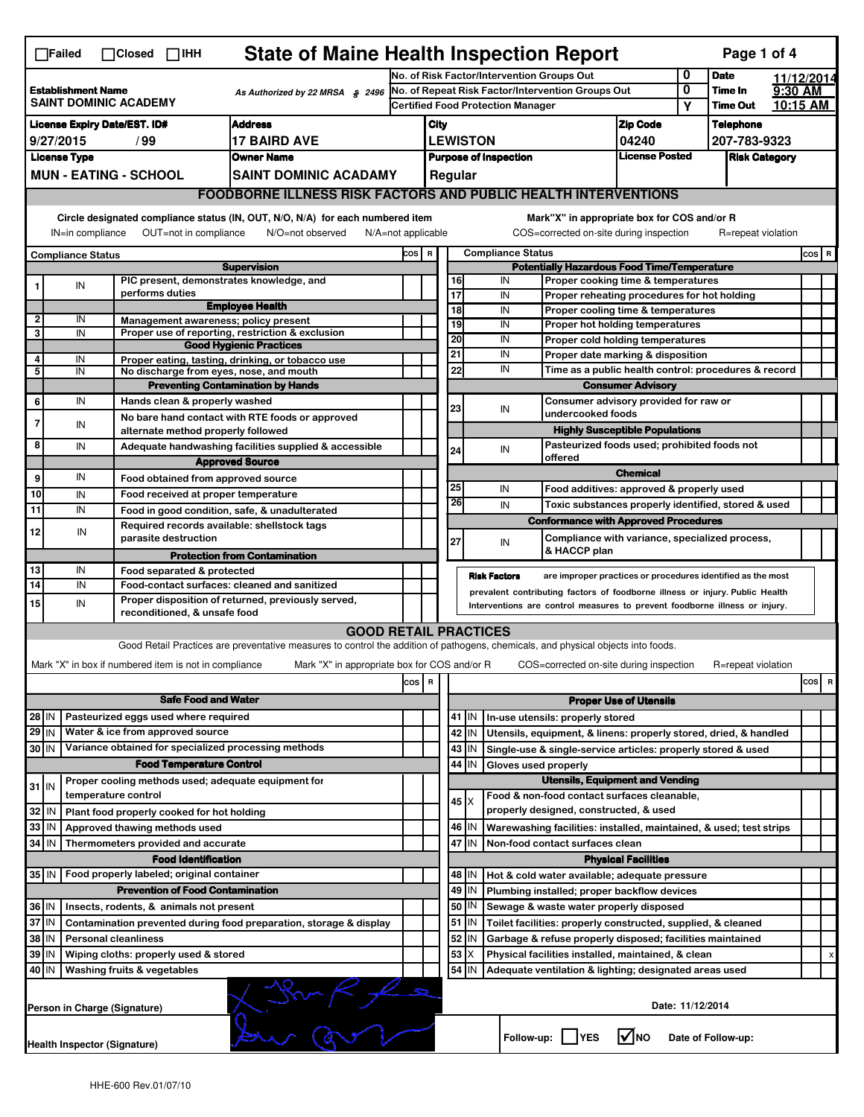|                                                                                              | $\Box$ Failed                                                                                                                                                             | $\Box$ Closed $\Box$ IHH      |                                                       | <b>State of Maine Health Inspection Report</b>                                                                                    |       |                                                                                                      |                                                                                                                                                            |             |                                                                                  |                                                                                        |                                      |                  | Page 1 of 4        |   |          |
|----------------------------------------------------------------------------------------------|---------------------------------------------------------------------------------------------------------------------------------------------------------------------------|-------------------------------|-------------------------------------------------------|-----------------------------------------------------------------------------------------------------------------------------------|-------|------------------------------------------------------------------------------------------------------|------------------------------------------------------------------------------------------------------------------------------------------------------------|-------------|----------------------------------------------------------------------------------|----------------------------------------------------------------------------------------|--------------------------------------|------------------|--------------------|---|----------|
|                                                                                              |                                                                                                                                                                           |                               | No. of Risk Factor/Intervention Groups Out            |                                                                                                                                   |       |                                                                                                      |                                                                                                                                                            |             | 0                                                                                | <b>Date</b>                                                                            |                                      | 11/12/2014       |                    |   |          |
| <b>Establishment Name</b><br>As Authorized by 22 MRSA § 2496<br><b>SAINT DOMINIC ACADEMY</b> |                                                                                                                                                                           |                               |                                                       | No. of Repeat Risk Factor/Intervention Groups Out                                                                                 |       |                                                                                                      |                                                                                                                                                            |             |                                                                                  |                                                                                        | 0<br>Υ                               | Time In          | 9:30 AM            |   |          |
|                                                                                              |                                                                                                                                                                           |                               |                                                       |                                                                                                                                   |       | Certified Food Protection Manager                                                                    |                                                                                                                                                            |             |                                                                                  |                                                                                        |                                      |                  | <b>Time Out</b>    |   | 10:15 AM |
|                                                                                              | <b>License Expiry Date/EST. ID#</b><br><b>Address</b><br><b>17 BAIRD AVE</b>                                                                                              |                               |                                                       |                                                                                                                                   |       |                                                                                                      | City                                                                                                                                                       |             |                                                                                  | <b>Zip Code</b>                                                                        |                                      | <b>Telephone</b> |                    |   |          |
| 9/27/2015<br>/ 99<br><b>License Type</b><br><b>Owner Name</b>                                |                                                                                                                                                                           |                               |                                                       |                                                                                                                                   |       | <b>LEWISTON</b><br>04240<br><b>License Posted</b><br><b>Purpose of Inspection</b>                    |                                                                                                                                                            |             |                                                                                  |                                                                                        | 207-783-9323<br><b>Risk Category</b> |                  |                    |   |          |
|                                                                                              | <b>MUN - EATING - SCHOOL</b><br><b>SAINT DOMINIC ACADAMY</b>                                                                                                              |                               |                                                       |                                                                                                                                   |       |                                                                                                      | Regular                                                                                                                                                    |             |                                                                                  |                                                                                        |                                      |                  |                    |   |          |
|                                                                                              | <b>FOODBORNE ILLNESS RISK FACTORS AND PUBLIC HEALTH INTERVENTIONS</b>                                                                                                     |                               |                                                       |                                                                                                                                   |       |                                                                                                      |                                                                                                                                                            |             |                                                                                  |                                                                                        |                                      |                  |                    |   |          |
|                                                                                              |                                                                                                                                                                           |                               |                                                       |                                                                                                                                   |       |                                                                                                      |                                                                                                                                                            |             |                                                                                  |                                                                                        |                                      |                  |                    |   |          |
|                                                                                              | Circle designated compliance status (IN, OUT, N/O, N/A) for each numbered item<br>OUT=not in compliance<br>IN=in compliance<br>N/O=not observed<br>$N/A = not$ applicable |                               |                                                       |                                                                                                                                   |       |                                                                                                      |                                                                                                                                                            |             |                                                                                  | Mark"X" in appropriate box for COS and/or R<br>COS=corrected on-site during inspection |                                      |                  | R=repeat violation |   |          |
| <b>Compliance Status</b>                                                                     |                                                                                                                                                                           |                               |                                                       |                                                                                                                                   |       | COS R                                                                                                | <b>Compliance Status</b>                                                                                                                                   |             |                                                                                  |                                                                                        |                                      |                  |                    |   | $cos$ R  |
| <b>Supervision</b><br>PIC present, demonstrates knowledge, and                               |                                                                                                                                                                           |                               |                                                       |                                                                                                                                   |       | <b>Potentially Hazardous Food Time/Temperature</b><br>16<br>IN<br>Proper cooking time & temperatures |                                                                                                                                                            |             |                                                                                  |                                                                                        |                                      |                  |                    |   |          |
| 1                                                                                            | IN                                                                                                                                                                        | performs duties               |                                                       |                                                                                                                                   |       |                                                                                                      | $\overline{17}$<br>IN<br>Proper reheating procedures for hot holding                                                                                       |             |                                                                                  |                                                                                        |                                      |                  |                    |   |          |
|                                                                                              |                                                                                                                                                                           |                               |                                                       | <b>Employee Health</b>                                                                                                            |       |                                                                                                      | $\overline{18}$                                                                                                                                            |             | IN                                                                               | Proper cooling time & temperatures                                                     |                                      |                  |                    |   |          |
| 2<br>3                                                                                       | IN<br>IN                                                                                                                                                                  |                               |                                                       | Management awareness; policy present<br>Proper use of reporting, restriction & exclusion                                          |       |                                                                                                      | 19                                                                                                                                                         |             | IN                                                                               | Proper hot holding temperatures                                                        |                                      |                  |                    |   |          |
|                                                                                              |                                                                                                                                                                           |                               |                                                       | <b>Good Hygienic Practices</b>                                                                                                    |       |                                                                                                      | 20<br>21                                                                                                                                                   |             | IN<br>IN                                                                         | Proper cold holding temperatures                                                       |                                      |                  |                    |   |          |
| 4<br>5                                                                                       | IN<br>IN                                                                                                                                                                  |                               |                                                       | Proper eating, tasting, drinking, or tobacco use<br>No discharge from eyes, nose, and mouth                                       |       |                                                                                                      | 22                                                                                                                                                         |             | IN                                                                               | Proper date marking & disposition                                                      |                                      |                  |                    |   |          |
|                                                                                              |                                                                                                                                                                           |                               |                                                       | <b>Preventing Contamination by Hands</b>                                                                                          |       |                                                                                                      |                                                                                                                                                            |             | Time as a public health control: procedures & record<br><b>Consumer Advisory</b> |                                                                                        |                                      |                  |                    |   |          |
| 6                                                                                            | IN                                                                                                                                                                        |                               | Hands clean & properly washed                         |                                                                                                                                   |       |                                                                                                      | 23                                                                                                                                                         |             |                                                                                  | Consumer advisory provided for raw or                                                  |                                      |                  |                    |   |          |
| $\overline{7}$                                                                               | IN                                                                                                                                                                        |                               |                                                       | No bare hand contact with RTE foods or approved                                                                                   |       |                                                                                                      |                                                                                                                                                            |             | IN                                                                               | undercooked foods                                                                      |                                      |                  |                    |   |          |
| 8                                                                                            |                                                                                                                                                                           |                               | alternate method properly followed                    |                                                                                                                                   |       |                                                                                                      |                                                                                                                                                            |             |                                                                                  | <b>Highly Susceptible Populations</b><br>Pasteurized foods used; prohibited foods not  |                                      |                  |                    |   |          |
|                                                                                              | IN                                                                                                                                                                        |                               |                                                       | Adequate handwashing facilities supplied & accessible<br><b>Approved Source</b>                                                   |       |                                                                                                      | 24                                                                                                                                                         |             | IN                                                                               | offered                                                                                |                                      |                  |                    |   |          |
| 9                                                                                            | IN                                                                                                                                                                        |                               | Food obtained from approved source                    |                                                                                                                                   |       |                                                                                                      |                                                                                                                                                            |             |                                                                                  |                                                                                        | <b>Chemical</b>                      |                  |                    |   |          |
| 10                                                                                           | IN                                                                                                                                                                        |                               | Food received at proper temperature                   |                                                                                                                                   |       |                                                                                                      | 25                                                                                                                                                         |             | IN                                                                               | Food additives: approved & properly used                                               |                                      |                  |                    |   |          |
| 11                                                                                           | IN                                                                                                                                                                        |                               |                                                       | Food in good condition, safe, & unadulterated                                                                                     |       |                                                                                                      | 26                                                                                                                                                         |             | IN                                                                               | Toxic substances properly identified, stored & used                                    |                                      |                  |                    |   |          |
| 12                                                                                           | IN                                                                                                                                                                        |                               |                                                       | Required records available: shellstock tags                                                                                       |       |                                                                                                      |                                                                                                                                                            |             |                                                                                  | <b>Conformance with Approved Procedures</b>                                            |                                      |                  |                    |   |          |
|                                                                                              |                                                                                                                                                                           |                               | parasite destruction                                  |                                                                                                                                   |       |                                                                                                      | 27                                                                                                                                                         |             | IN                                                                               | Compliance with variance, specialized process,<br>& HACCP plan                         |                                      |                  |                    |   |          |
| 13                                                                                           | IN                                                                                                                                                                        |                               | Food separated & protected                            | <b>Protection from Contamination</b>                                                                                              |       |                                                                                                      |                                                                                                                                                            |             |                                                                                  |                                                                                        |                                      |                  |                    |   |          |
| $\overline{14}$                                                                              | IN                                                                                                                                                                        |                               |                                                       | Food-contact surfaces: cleaned and sanitized                                                                                      |       |                                                                                                      |                                                                                                                                                            |             | <b>Risk Factors</b>                                                              | are improper practices or procedures identified as the most                            |                                      |                  |                    |   |          |
| 15                                                                                           | IN                                                                                                                                                                        |                               | reconditioned, & unsafe food                          | Proper disposition of returned, previously served,                                                                                |       |                                                                                                      | prevalent contributing factors of foodborne illness or injury. Public Health<br>Interventions are control measures to prevent foodborne illness or injury. |             |                                                                                  |                                                                                        |                                      |                  |                    |   |          |
|                                                                                              |                                                                                                                                                                           |                               |                                                       | <b>GOOD RETAIL PRACTICES</b>                                                                                                      |       |                                                                                                      |                                                                                                                                                            |             |                                                                                  |                                                                                        |                                      |                  |                    |   |          |
|                                                                                              |                                                                                                                                                                           |                               |                                                       | Good Retail Practices are preventative measures to control the addition of pathogens, chemicals, and physical objects into foods. |       |                                                                                                      |                                                                                                                                                            |             |                                                                                  |                                                                                        |                                      |                  |                    |   |          |
|                                                                                              |                                                                                                                                                                           |                               | Mark "X" in box if numbered item is not in compliance | Mark "X" in appropriate box for COS and/or R                                                                                      |       |                                                                                                      |                                                                                                                                                            |             |                                                                                  | COS=corrected on-site during inspection                                                |                                      |                  | R=repeat violation |   |          |
|                                                                                              |                                                                                                                                                                           |                               |                                                       |                                                                                                                                   | cos R |                                                                                                      |                                                                                                                                                            |             |                                                                                  |                                                                                        |                                      |                  |                    |   | cos R    |
|                                                                                              |                                                                                                                                                                           |                               | <b>Safe Food and Water</b>                            |                                                                                                                                   |       |                                                                                                      |                                                                                                                                                            |             |                                                                                  |                                                                                        | <b>Proper Use of Utensils</b>        |                  |                    |   |          |
| $28$ IN                                                                                      |                                                                                                                                                                           |                               | Pasteurized eggs used where required                  |                                                                                                                                   |       |                                                                                                      |                                                                                                                                                            | $41$ M      |                                                                                  | In-use utensils: properly stored                                                       |                                      |                  |                    |   |          |
| $29$ IN                                                                                      |                                                                                                                                                                           |                               | Water & ice from approved source                      |                                                                                                                                   |       |                                                                                                      | 42                                                                                                                                                         | IN          |                                                                                  | Utensils, equipment, & linens: properly stored, dried, & handled                       |                                      |                  |                    |   |          |
| 30 IN                                                                                        |                                                                                                                                                                           |                               |                                                       | Variance obtained for specialized processing methods                                                                              |       |                                                                                                      | 43                                                                                                                                                         | IN.         |                                                                                  | Single-use & single-service articles: properly stored & used                           |                                      |                  |                    |   |          |
|                                                                                              |                                                                                                                                                                           |                               | <b>Food Temperature Control</b>                       |                                                                                                                                   |       |                                                                                                      | 44<br>IN<br>Gloves used properly<br><b>Utensils, Equipment and Vending</b>                                                                                 |             |                                                                                  |                                                                                        |                                      |                  |                    |   |          |
| $31$ IN                                                                                      |                                                                                                                                                                           | temperature control           |                                                       | Proper cooling methods used; adequate equipment for                                                                               |       |                                                                                                      |                                                                                                                                                            |             |                                                                                  | Food & non-food contact surfaces cleanable,                                            |                                      |                  |                    |   |          |
| 32                                                                                           | IN                                                                                                                                                                        |                               | Plant food properly cooked for hot holding            |                                                                                                                                   |       |                                                                                                      |                                                                                                                                                            | $45 \times$ |                                                                                  | properly designed, constructed, & used                                                 |                                      |                  |                    |   |          |
| 33                                                                                           | l IN                                                                                                                                                                      | Approved thawing methods used |                                                       |                                                                                                                                   |       |                                                                                                      | 46                                                                                                                                                         | ΙM          |                                                                                  | Warewashing facilities: installed, maintained, & used; test strips                     |                                      |                  |                    |   |          |
| 34                                                                                           | l IN                                                                                                                                                                      |                               | Thermometers provided and accurate                    |                                                                                                                                   |       |                                                                                                      | 47<br>İIN<br>Non-food contact surfaces clean                                                                                                               |             |                                                                                  |                                                                                        |                                      |                  |                    |   |          |
|                                                                                              |                                                                                                                                                                           |                               | <b>Food Identification</b>                            |                                                                                                                                   |       |                                                                                                      |                                                                                                                                                            |             |                                                                                  |                                                                                        | <b>Physical Facilities</b>           |                  |                    |   |          |
| 35 IN                                                                                        |                                                                                                                                                                           |                               | Food properly labeled; original container             |                                                                                                                                   |       |                                                                                                      |                                                                                                                                                            | 48   IN     |                                                                                  | Hot & cold water available; adequate pressure                                          |                                      |                  |                    |   |          |
|                                                                                              | <b>Prevention of Food Contamination</b><br>36 IN<br>Insects, rodents, & animals not present                                                                               |                               |                                                       |                                                                                                                                   |       |                                                                                                      | 49<br>IN<br>Plumbing installed; proper backflow devices<br>50<br>ΙN<br>Sewage & waste water properly disposed                                              |             |                                                                                  |                                                                                        |                                      |                  |                    |   |          |
| 37 IN<br>Contamination prevented during food preparation, storage & display                  |                                                                                                                                                                           |                               |                                                       |                                                                                                                                   |       | 51                                                                                                   | ΙM                                                                                                                                                         |             | Toilet facilities: properly constructed, supplied, & cleaned                     |                                                                                        |                                      |                  |                    |   |          |
| 38<br>  IN<br><b>Personal cleanliness</b>                                                    |                                                                                                                                                                           |                               |                                                       |                                                                                                                                   |       | 52<br>IN<br>Garbage & refuse properly disposed; facilities maintained                                |                                                                                                                                                            |             |                                                                                  |                                                                                        |                                      |                  |                    |   |          |
| 39<br>  IN<br>Wiping cloths: properly used & stored                                          |                                                                                                                                                                           |                               |                                                       |                                                                                                                                   |       |                                                                                                      | 53<br>Х<br>Physical facilities installed, maintained, & clean                                                                                              |             |                                                                                  |                                                                                        |                                      |                  |                    | x |          |
| 40 IN                                                                                        |                                                                                                                                                                           | Washing fruits & vegetables   |                                                       |                                                                                                                                   |       |                                                                                                      | 54<br>ΙM<br>Adequate ventilation & lighting; designated areas used                                                                                         |             |                                                                                  |                                                                                        |                                      |                  |                    |   |          |
|                                                                                              | Person in Charge (Signature)                                                                                                                                              |                               |                                                       |                                                                                                                                   |       |                                                                                                      | Date: 11/12/2014                                                                                                                                           |             |                                                                                  |                                                                                        |                                      |                  |                    |   |          |
|                                                                                              |                                                                                                                                                                           | Health Inspector (Signature)  |                                                       |                                                                                                                                   |       |                                                                                                      |                                                                                                                                                            |             | Follow-up:                                                                       | <b>IYES</b>                                                                            | IV∣NO                                |                  | Date of Follow-up: |   |          |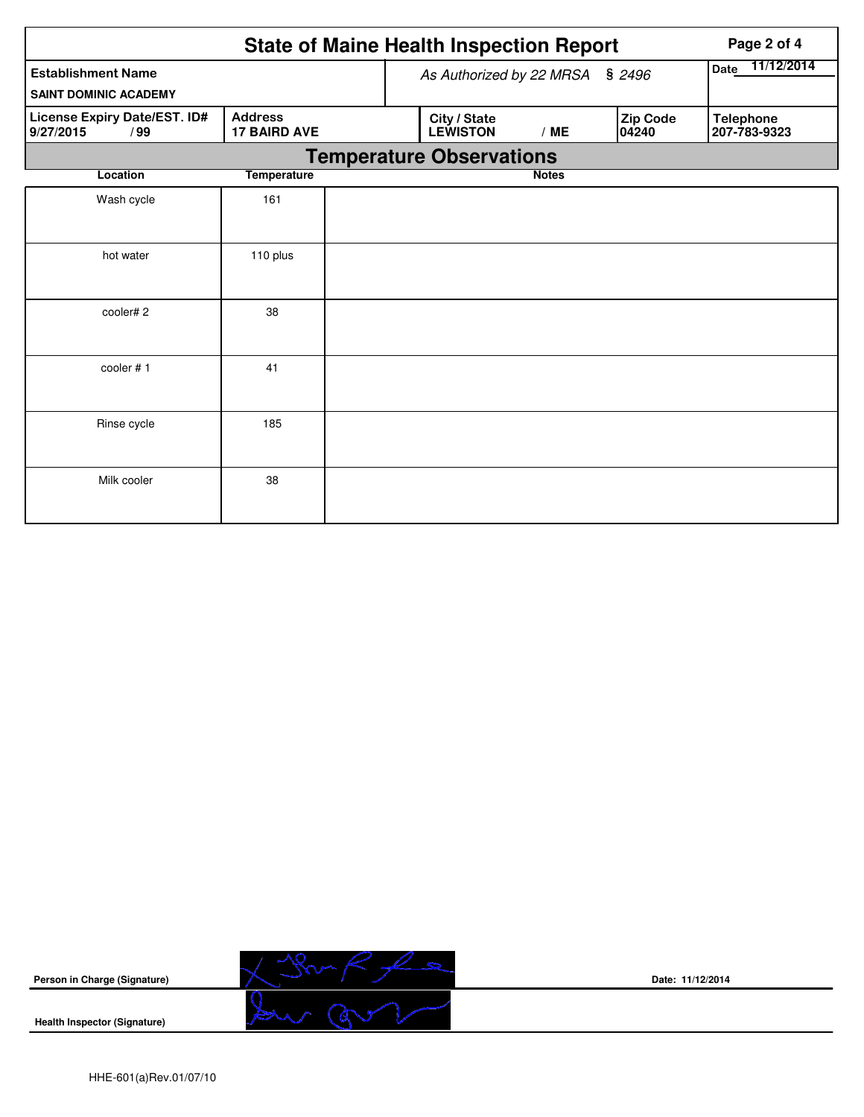|                                                  | Page 2 of 4                           |  |                                 |                    |                   |                                  |
|--------------------------------------------------|---------------------------------------|--|---------------------------------|--------------------|-------------------|----------------------------------|
| <b>Establishment Name</b>                        |                                       |  | As Authorized by 22 MRSA § 2496 | 11/12/2014<br>Date |                   |                                  |
| <b>SAINT DOMINIC ACADEMY</b>                     |                                       |  |                                 |                    |                   |                                  |
| License Expiry Date/EST. ID#<br>9/27/2015<br>/99 | <b>Address</b><br><b>17 BAIRD AVE</b> |  | City / State<br><b>LEWISTON</b> | /ME                | Zip Code<br>04240 | <b>Telephone</b><br>207-783-9323 |
|                                                  |                                       |  | <b>Temperature Observations</b> |                    |                   |                                  |
| Location                                         | <b>Temperature</b>                    |  |                                 | <b>Notes</b>       |                   |                                  |
| Wash cycle                                       | 161                                   |  |                                 |                    |                   |                                  |
| hot water                                        | 110 plus                              |  |                                 |                    |                   |                                  |
| cooler#2                                         | 38                                    |  |                                 |                    |                   |                                  |
| cooler #1                                        | 41                                    |  |                                 |                    |                   |                                  |
| Rinse cycle                                      | 185                                   |  |                                 |                    |                   |                                  |
| Milk cooler                                      | 38                                    |  |                                 |                    |                   |                                  |



**Date: 11/12/2014**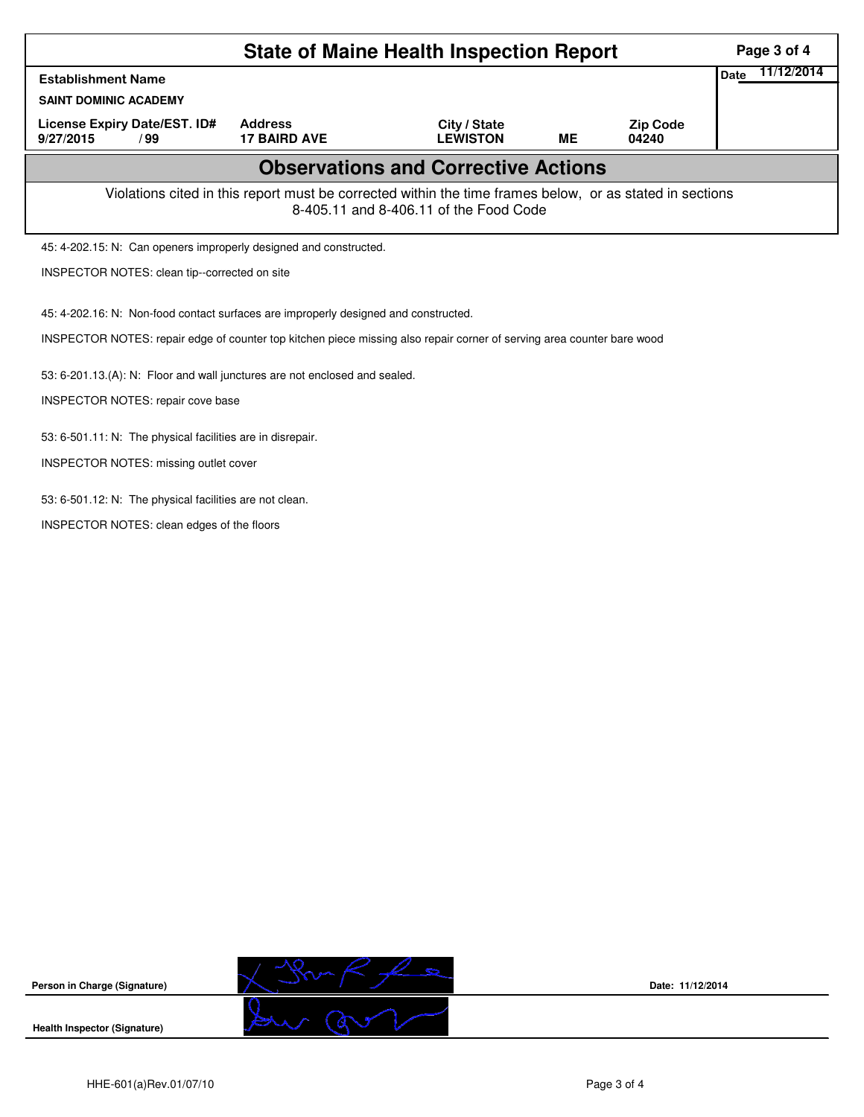|                                                                                                                                                    | Page 3 of 4                                             |                                 |           |                          |  |  |  |  |  |  |
|----------------------------------------------------------------------------------------------------------------------------------------------------|---------------------------------------------------------|---------------------------------|-----------|--------------------------|--|--|--|--|--|--|
| <b>Establishment Name</b>                                                                                                                          | 11/12/2014<br>Date                                      |                                 |           |                          |  |  |  |  |  |  |
| <b>SAINT DOMINIC ACADEMY</b>                                                                                                                       |                                                         |                                 |           |                          |  |  |  |  |  |  |
| License Expiry Date/EST. ID#<br>9/27/2015<br>/99                                                                                                   | <b>Address</b><br><b>17 BAIRD AVE</b>                   | City / State<br><b>LEWISTON</b> | <b>ME</b> | <b>Zip Code</b><br>04240 |  |  |  |  |  |  |
| <b>Observations and Corrective Actions</b>                                                                                                         |                                                         |                                 |           |                          |  |  |  |  |  |  |
| Violations cited in this report must be corrected within the time frames below, or as stated in sections<br>8-405.11 and 8-406.11 of the Food Code |                                                         |                                 |           |                          |  |  |  |  |  |  |
| 45: 4-202.15: N: Can openers improperly designed and constructed.                                                                                  |                                                         |                                 |           |                          |  |  |  |  |  |  |
| INSPECTOR NOTES: clean tip--corrected on site                                                                                                      |                                                         |                                 |           |                          |  |  |  |  |  |  |
| 45: 4-202.16: N: Non-food contact surfaces are improperly designed and constructed.                                                                |                                                         |                                 |           |                          |  |  |  |  |  |  |
| INSPECTOR NOTES: repair edge of counter top kitchen piece missing also repair corner of serving area counter bare wood                             |                                                         |                                 |           |                          |  |  |  |  |  |  |
| 53: 6-201.13.(A): N: Floor and wall junctures are not enclosed and sealed.                                                                         |                                                         |                                 |           |                          |  |  |  |  |  |  |
| <b>INSPECTOR NOTES: repair cove base</b>                                                                                                           |                                                         |                                 |           |                          |  |  |  |  |  |  |
| 53: 6-501.11: N: The physical facilities are in disrepair.                                                                                         |                                                         |                                 |           |                          |  |  |  |  |  |  |
| <b>INSPECTOR NOTES: missing outlet cover</b>                                                                                                       |                                                         |                                 |           |                          |  |  |  |  |  |  |
|                                                                                                                                                    | 53: 6-501.12: N: The physical facilities are not clean. |                                 |           |                          |  |  |  |  |  |  |
|                                                                                                                                                    | INSPECTOR NOTES: clean edges of the floors              |                                 |           |                          |  |  |  |  |  |  |
|                                                                                                                                                    |                                                         |                                 |           |                          |  |  |  |  |  |  |

**Date: 11/12/2014**

**Health Inspector (Signature)** 

**Person in Charge (Signature)**